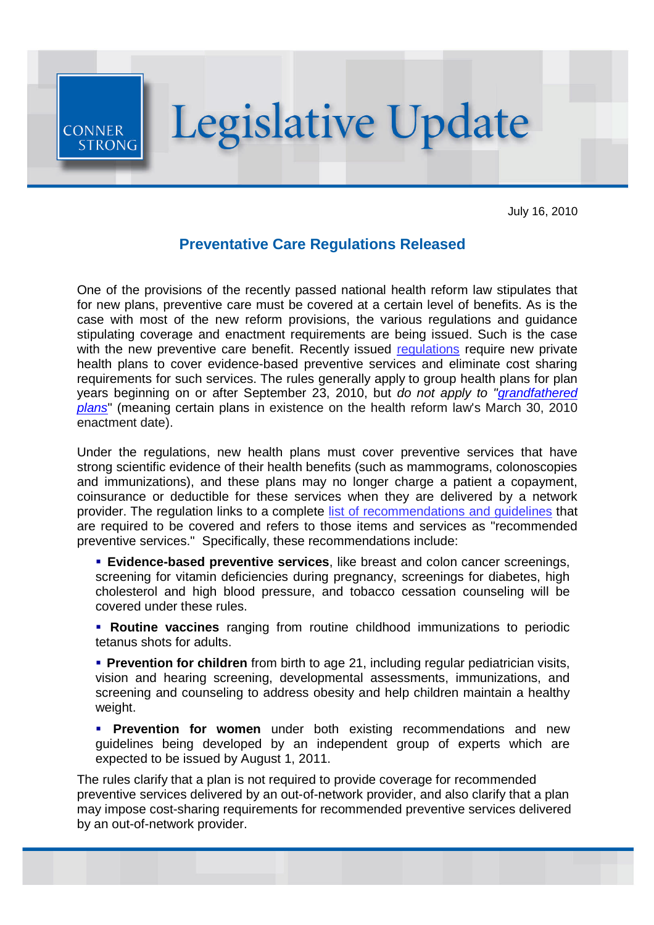

July 16, 2010

## **Preventative Care Regulations Released**

One of the provisions of the recently passed national health reform law stipulates that for new plans, preventive care must be covered at a certain level of benefits. As is the case with most of the new reform provisions, the various regulations and guidance stipulating coverage and enactment requirements are being issued. Such is the case with the new preventive care benefit. Recently issued [regulations](http://r20.rs6.net/tn.jsp?et=1103569452656&s=7633&e=001lmtoW0NMxCP_4F_8byYK5w60C_kdFZOVI7fWphq46_Mxm88yYuj-8sDI7GnbyBJGHjPpzxj7zyeq9IbOGlwyvR5SssMXOz_hLthJHeJwJNjRkaIXhVzJlmow-Rovdh4-wdXwDpFi90OicFXZAgTjiV_1UAW7bVxx-EWYI3qilmTkQJdH73NWtg==) require new private health plans to cover evidence-based preventive services and eliminate cost sharing requirements for such services. The rules generally apply to group health plans for plan [years beginning on or after September 23, 2010, but](http://r20.rs6.net/tn.jsp?et=1103569452656&s=7633&e=001lmtoW0NMxCOjxFgJO2q-gHCtFJ-bJW6dsAoFENcgsQIX9a7hBr09BnycF8wCncwE3USX04WjeCLXcNkKrEAsNtJy3csnasUHF_3ZqIPTwQRi2kcFbNnrXTymG19Q_r87b0YBlfMLizI2OoCXu4TF_R-1DwV179NoXqQoVHlup2R4XMojqe-kcUgrvvljncpmQk8eEBuH9niQTt-ChunTZmoI0NEGOOUcKI8-JpMJoO-bp0DS5Gk0LCl1Q8hViRow) *do not apply to "grandfathered plans*" (meaning certain plans in existence on the health reform law's March 30, 2010 enactment date).

Under the regulations, new health plans must cover preventive services that have strong scientific evidence of their health benefits (such as mammograms, colonoscopies and immunizations), and these plans may no longer charge a patient a copayment, coinsurance or deductible for these services when they are delivered by a network provider. The regulation links to a complete [list of recommendations and guidelines](http://r20.rs6.net/tn.jsp?et=1103569452656&s=7633&e=001lmtoW0NMxCM4CDpM97ERWz6N8KvdB9ONW6Z-5e6dxAugiXSVnem2CWmPLbrlA-1V0cw0FopNVRyeAn24ooipMyHwzTdWuv4OPstt7bHNZ1nqdm64lQXuOeh9v7aRFxNtMC4LFRRuuKV-yBc16ia4Jfe1QylYBxJmlqtyCsN1pT_dcUMrcGsQwOK3ux_tFMN-) that are required to be covered and refers to those items and services as "recommended preventive services." Specifically, these recommendations include:

 **Evidence-based preventive services**, like breast and colon cancer screenings, screening for vitamin deficiencies during pregnancy, screenings for diabetes, high cholesterol and high blood pressure, and tobacco cessation counseling will be covered under these rules.

 **Routine vaccines** ranging from routine childhood immunizations to periodic tetanus shots for adults.

**Prevention for children** from birth to age 21, including regular pediatrician visits, vision and hearing screening, developmental assessments, immunizations, and screening and counseling to address obesity and help children maintain a healthy weight.

**Prevention for women** under both existing recommendations and new guidelines being developed by an independent group of experts which are expected to be issued by August 1, 2011.

The rules clarify that a plan is not required to provide coverage for recommended preventive services delivered by an out-of-network provider, and also clarify that a plan may impose cost-sharing requirements for recommended preventive services delivered by an out-of-network provider.